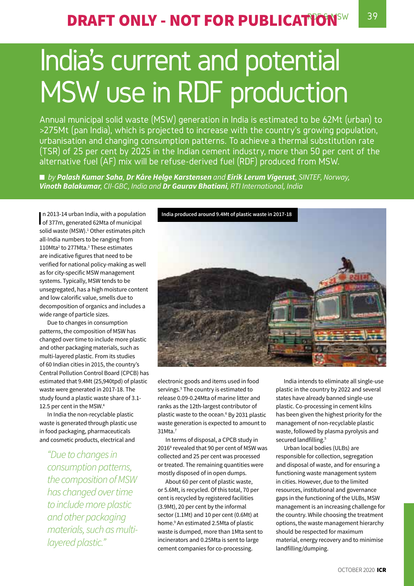# India's current and potential MSW use in RDF production

Annual municipal solid waste (MSW) generation in India is estimated to be 62Mt (urban) to >275Mt (pan India), which is projected to increase with the country's growing population, urbanisation and changing consumption patterns. To achieve a thermal substitution rate (TSR) of 25 per cent by 2025 in the Indian cement industry, more than 50 per cent of the alternative fuel (AF) mix will be refuse-derived fuel (RDF) produced from MSW.

■ *by Palash Kumar Saha*, Dr Kåre Helge Karstensen and Eirik Lerum Vigerust, SINTEF, Norway, *Vinoth Balakumar, CII-GBC, India and Dr Gaurav Bhatiani, RTI International, India* 

n 2013-14 urban India, with a population<br>of 377m, generated 62Mta of municipal n 2013-14 urban India, with a population solid waste (MSW).<sup>1</sup> Other estimates pitch all-India numbers to be ranging from 110Mta2 to 277Mta.3 These estimates are indicative figures that need to be verified for national policy-making as well as for city-specific MSW management systems. Typically, MSW tends to be unsegregated, has a high moisture content and low calorific value, smells due to decomposition of organics and includes a wide range of particle sizes.

Due to changes in consumption patterns, the composition of MSW has changed over time to include more plastic and other packaging materials, such as multi-layered plastic. From its studies of 60 Indian cities in 2015, the country's Central Pollution Control Board (CPCB) has estimated that 9.4Mt (25,940tpd) of plastic waste were generated in 2017-18. The study found a plastic waste share of 3.1- 12.5 per cent in the MSW.4

In India the non-recyclable plastic waste is generated through plastic use in food packaging, pharmaceuticals and cosmetic products, electrical and

*"Due to changes in consumption patterns, the composition of MSW has changed over time to include more plastic and other packaging materials, such as multilayered plastic."*



electronic goods and items used in food servings.<sup>5</sup> The country is estimated to release 0.09-0.24Mta of marine litter and ranks as the 12th-largest contributor of plastic waste to the ocean.<sup>6</sup> By 2031 plastic waste generation is expected to amount to 31Mta.7

In terms of disposal, a CPCB study in 2016<sup>8</sup> revealed that 90 per cent of MSW was collected and 25 per cent was processed or treated. The remaining quantities were mostly disposed of in open dumps.

About 60 per cent of plastic waste, or 5.6Mt, is recycled. Of this total, 70 per cent is recycled by registered facilities (3.9Mt), 20 per cent by the informal sector (1.1Mt) and 10 per cent (0.6Mt) at home.9 An estimated 2.5Mta of plastic waste is dumped, more than 1Mta sent to incinerators and 0.25Mta is sent to large cement companies for co-processing.

India intends to eliminate all single-use plastic in the country by 2022 and several states have already banned single-use plastic. Co-processing in cement kilns has been given the highest priority for the management of non-recyclable plastic waste, followed by plasma pyrolysis and secured landfilling.<sup>5</sup>

Urban local bodies (ULBs) are responsible for collection, segregation and disposal of waste, and for ensuring a functioning waste management system in cities. However, due to the limited resources, institutional and governance gaps in the functioning of the ULBs, MSW management is an increasing challenge for the country. While choosing the treatment options, the waste management hierarchy should be respected for maximum material, energy recovery and to minimise landfilling/dumping.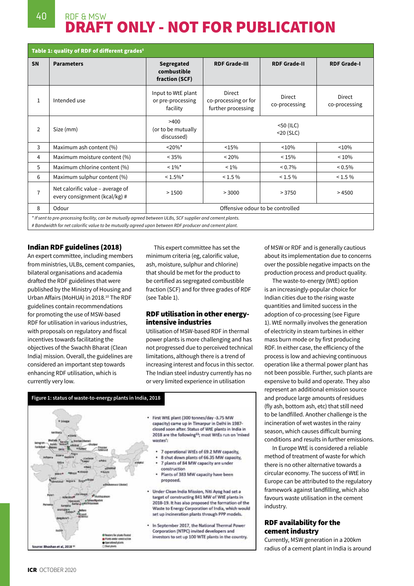## 40 RDF & MSW DRAFT ONLY - NOT FOR PUBLICATION

| Table 1: quality of RDF of different grades <sup>5</sup>                                                   |                                                                   |                                                     |                                                      |                         |                         |  |  |
|------------------------------------------------------------------------------------------------------------|-------------------------------------------------------------------|-----------------------------------------------------|------------------------------------------------------|-------------------------|-------------------------|--|--|
| <b>SN</b>                                                                                                  | <b>Parameters</b>                                                 | <b>Segregated</b><br>combustible<br>fraction (SCF)  | <b>RDF Grade-III</b>                                 | <b>RDF Grade-I</b>      |                         |  |  |
| $\mathbf{1}$                                                                                               | Intended use                                                      | Input to WtE plant<br>or pre-processing<br>facility | Direct<br>co-processing or for<br>further processing | Direct<br>co-processing | Direct<br>co-processing |  |  |
| $\overline{2}$                                                                                             | Size (mm)                                                         | >400<br>(or to be mutually<br>discussed)            | $<$ 50 (ILC)<br>$<$ 20 $(SLC)$                       |                         |                         |  |  |
| 3                                                                                                          | Maximum ash content (%)                                           | $20\%$ *                                            | <15%                                                 | < 10%                   | < 10%                   |  |  |
| 4                                                                                                          | Maximum moisture content (%)                                      | $< 35\%$                                            | $~120\%$                                             | < 15%                   | < 10%                   |  |  |
| 5                                                                                                          | Maximum chlorine content (%)                                      | $< 1\%$ *                                           | $1\%$                                                | $< 0.7\%$               | $< 0.5\%$               |  |  |
| 6                                                                                                          | Maximum sulphur content (%)                                       | $< 1.5\%$ *                                         | $< 1.5 \%$                                           | $< 1.5 \%$              | $< 1.5 \%$              |  |  |
| 7                                                                                                          | Net calorific value - average of<br>every consignment (kcal/kg) # | >1500                                               | > 3750<br>> 3000                                     |                         | >4500                   |  |  |
| 8                                                                                                          | Odour                                                             | Offensive odour to be controlled                    |                                                      |                         |                         |  |  |
| * If sent to pre-processing facility, can be mutually agreed between ULBs, SCF supplier and cement plants. |                                                                   |                                                     |                                                      |                         |                         |  |  |

*# Bandwidth for net calorific value to be mutually agreed upon between RDF producer and cement plant.*

#### Indian RDF guidelines (2018)

An expert committee, including members from ministries, ULBs, cement companies, bilateral organisations and academia drafted the RDF guidelines that were published by the Ministry of Housing and Urban Affairs (MoHUA) in 2018.<sup>10</sup> The RDF guidelines contain recommendations for promoting the use of MSW-based RDF for utilisation in various industries, with proposals on regulatory and fiscal incentives towards facilitating the objectives of the Swachh Bharat (Clean India) mission. Overall, the guidelines are considered an important step towards enhancing RDF utilisation, which is currently very low.

This expert committee has set the minimum criteria (eg, calorific value, ash, moisture, sulphur and chlorine) that should be met for the product to be certified as segregated combustible fraction (SCF) and for three grades of RDF (see Table 1).

#### RDF utilisation in other energyintensive industries

Utilisation of MSW-based RDF in thermal power plants is more challenging and has not progressed due to perceived technical limitations, although there is a trend of increasing interest and focus in this sector. The Indian steel industry currently has no or very limited experience in utilisation

**Figure 1: status of waste-to-energy plants in India, 2018** · First WtE plant (300 tonnes/day -3.75 MW capacity) came up in Timarpur in Delhi in 1987closed soon after. Status of WtE plants in India in 2018 are the following<sup>11</sup>; most WtEs run on 'mixed wastes': 7 operational WtEs of 69.2 MW capacity. 8 shut down plants of 66.35 MW capacity. 7 plants of 84 MW capacity are under construction Plants of 383 MW capacity have been proposed. Under Clean India Mission, Niti Ayog had set a target of constructing 841 MW of WtE plants in 2018-19. It has also proposed the formation of the Waste to Energy Corporation of India, which would set up incineration plants through PPP models. In September 2017, the National Thermal Power Corporation (NTPC) invited developers and investors to set up 100 WTE plants in the country. an et al, 2018<sup>3</sup>

of MSW or RDF and is generally cautious about its implementation due to concerns over the possible negative impacts on the production process and product quality.

The waste-to-energy (WtE) option is an increasingly-popular choice for Indian cities due to the rising waste quantities and limited success in the adoption of co-processing (see Figure 1). WtE normally involves the generation of electricity in steam turbines in either mass burn mode or by first producing RDF. In either case, the efficiency of the process is low and achieving continuous operation like a thermal power plant has not been possible. Further, such plants are expensive to build and operate. They also represent an additional emission source and produce large amounts of residues (fly ash, bottom ash, etc) that still need to be landfilled. Another challenge is the incineration of wet wastes in the rainy season, which causes difficult burning conditions and results in further emissions.

In Europe WtE is considered a reliable method of treatment of waste for which there is no other alternative towards a circular economy. The success of WtE in Europe can be attributed to the regulatory framework against landfilling, which also favours waste utilisation in the cement industry.

#### RDF availability for the cement industry

Currently, MSW generation in a 200km radius of a cement plant in India is around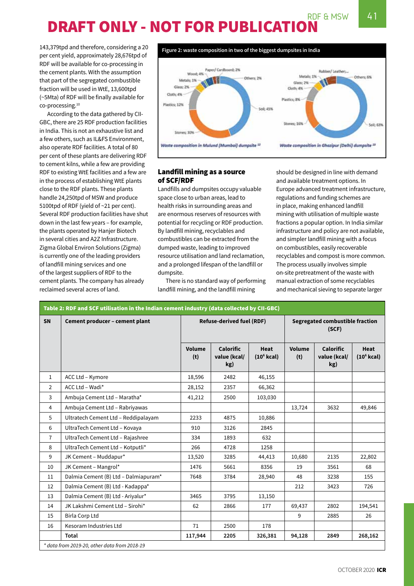## RDF & MSW  $\sqrt{41}$ DRAFT ONLY - NOT FOR PUBLICATION

143,379tpd and therefore, considering a 20 per cent yield, approximately 28,676tpd of RDF will be available for co-processing in the cement plants. With the assumption that part of the segregated combustible fraction will be used in WtE, 13,600tpd (~5Mta) of RDF will be finally available for co-processing.10

According to the data gathered by CII-GBC, there are 25 RDF production facilities in India. This is not an exhaustive list and a few others, such as IL&FS Environment, also operate RDF facilities. A total of 80 per cent of these plants are delivering RDF to cement kilns, while a few are providing RDF to existing WtE facilities and a few are in the process of establishing WtE plants close to the RDF plants. These plants handle 24,250tpd of MSW and produce 5100tpd of RDF (yield of ~21 per cent). Several RDF production facilities have shut down in the last few years – for example, the plants operated by Hanjer Biotech in several cities and A2Z Infrastructure. Zigma Global Environ Solutions (Zigma) is currently one of the leading providers of landfill mining services and one of the largest suppliers of RDF to the cement plants. The company has already reclaimed several acres of land.



### Landfill mining as a source of SCF/RDF

Landfills and dumpsites occupy valuable space close to urban areas, lead to health risks in surrounding areas and are enormous reserves of resources with potential for recycling or RDF production. By landfill mining, recyclables and combustibles can be extracted from the dumped waste, leading to improved resource utilisation and land reclamation, and a prolonged lifespan of the landfill or dumpsite.

There is no standard way of performing landfill mining, and the landfill mining

should be designed in line with demand and available treatment options. In Europe advanced treatment infrastructure, regulations and funding schemes are in place, making enhanced landfill mining with utilisation of multiple waste fractions a popular option. In India similar infrastructure and policy are not available, and simpler landfill mining with a focus on combustibles, easily recoverable recyclables and compost is more common. The process usually involves simple on-site pretreatment of the waste with manual extraction of some recyclables and mechanical sieving to separate larger

| <b>SN</b>      | Cement producer - cement plant       | <b>Refuse-derived fuel (RDF)</b> |                                         |                             | Segregated combustible fraction<br>(SCF) |                                         |                             |
|----------------|--------------------------------------|----------------------------------|-----------------------------------------|-----------------------------|------------------------------------------|-----------------------------------------|-----------------------------|
|                |                                      | Volume<br>(t)                    | <b>Calorific</b><br>value (kcal/<br>kg) | <b>Heat</b><br>$(106$ kcal) | <b>Volume</b><br>(t)                     | <b>Calorific</b><br>value (kcal/<br>kg) | <b>Heat</b><br>$(106$ kcal) |
| $\mathbf{1}$   | ACC Ltd - Kymore                     | 18,596                           | 2482                                    | 46,155                      |                                          |                                         |                             |
| $\overline{2}$ | ACC Ltd - Wadi*                      | 28,152                           | 2357                                    | 66,362                      |                                          |                                         |                             |
| 3              | Ambuja Cement Ltd - Maratha*         | 41,212                           | 2500                                    | 103,030                     |                                          |                                         |                             |
| 4              | Ambuja Cement Ltd - Rabriyawas       |                                  |                                         |                             | 13,724                                   | 3632                                    | 49,846                      |
| 5              | Ultratech Cement Ltd - Reddipalayam  | 2233                             | 4875                                    | 10,886                      |                                          |                                         |                             |
| 6              | UltraTech Cement Ltd - Kovaya        | 910                              | 3126                                    | 2845                        |                                          |                                         |                             |
| $\overline{7}$ | UltraTech Cement Ltd - Rajashree     | 334                              | 1893                                    | 632                         |                                          |                                         |                             |
| 8              | UltraTech Cement Ltd - Kotputli*     | 266                              | 4728                                    | 1258                        |                                          |                                         |                             |
| 9              | JK Cement - Muddapur*                | 13,520                           | 3285                                    | 44,413                      | 10,680                                   | 2135                                    | 22,802                      |
| 10             | JK Cement - Mangrol*                 | 1476                             | 5661                                    | 8356                        | 19                                       | 3561                                    | 68                          |
| 11             | Dalmia Cement (B) Ltd - Dalmiapuram* | 7648                             | 3784                                    | 28,940                      | 48                                       | 3238                                    | 155                         |
| 12             | Dalmia Cement (B) Ltd - Kadappa*     |                                  |                                         |                             | 212                                      | 3423                                    | 726                         |
| 13             | Dalmia Cement (B) Ltd - Ariyalur*    | 3465                             | 3795                                    | 13,150                      |                                          |                                         |                             |
| 14             | JK Lakshmi Cement Ltd - Sirohi*      | 62                               | 2866                                    | 177                         | 69,437                                   | 2802                                    | 194,541                     |
| 15             | <b>Birla Corp Ltd</b>                |                                  |                                         |                             | 9                                        | 2885                                    | 26                          |
| 16             | Kesoram Industries Ltd               | 71                               | 2500                                    | 178                         |                                          |                                         |                             |
|                | Total                                | 117,944                          | 2205                                    | 326,381                     | 94,128                                   | 2849                                    | 268,162                     |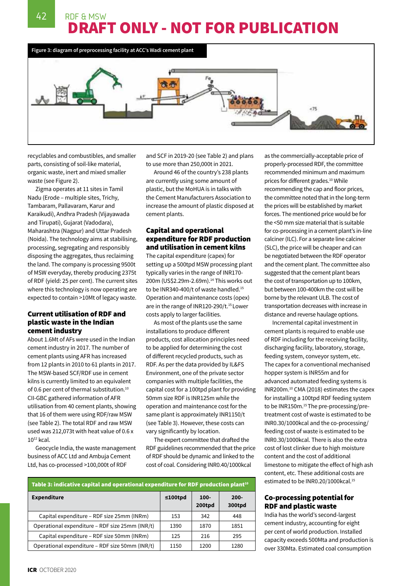42 RDF & MSW DRAFT ONLY - NOT FOR PUBLICATION



recyclables and combustibles, and smaller parts, consisting of soil-like material, organic waste, inert and mixed smaller waste (see Figure 2).

Zigma operates at 11 sites in Tamil Nadu (Erode – multiple sites, Trichy, Tambaram, Pallavaram, Karur and Karaikudi), Andhra Pradesh (Vijayawada and Tirupati), Gujarat (Vadodara), Maharashtra (Nagpur) and Uttar Pradesh (Noida). The technology aims at stabilising, processing, segregating and responsibly disposing the aggregates, thus reclaiming the land. The company is processing 9500t of MSW everyday, thereby producing 2375t of RDF (yield: 25 per cent). The current sites where this technology is now operating are expected to contain >10Mt of legacy waste.

#### Current utilisation of RDF and plastic waste in the Indian cement industry

About 1.6Mt of AFs were used in the Indian cement industry in 2017. The number of cement plants using AFR has increased from 12 plants in 2010 to 61 plants in 2017. The MSW-based SCF/RDF use in cement kilns is currently limited to an equivalent of 0.6 per cent of thermal substitution.<sup>10</sup> CII-GBC gathered information of AFR utilisation from 40 cement plants, showing that 16 of them were using RDF/raw MSW (see Table 2). The total RDF and raw MSW used was 212,073t with heat value of 0.6 x  $10^{12}$  kcal.

Geocycle India, the waste management business of ACC Ltd and Ambuja Cement Ltd, has co-processed >100,000t of RDF

and SCF in 2019-20 (see Table 2) and plans to use more than 250,000t in 2021.

Around 46 of the country's 238 plants are currently using some amount of plastic, but the MoHUA is in talks with the Cement Manufacturers Association to increase the amount of plastic disposed at cement plants.

### Capital and operational expenditure for RDF production and utilisation in cement kilns

The capital expenditure (capex) for setting up a 500tpd MSW processing plant typically varies in the range of INR170- 200m (US\$2.29m-2.69m).<sup>14</sup> This works out to be INR340-400/t of waste handled.<sup>15</sup> Operation and maintenance costs (opex) are in the range of INR120-290/t.<sup>15</sup> Lower costs apply to larger facilities.

As most of the plants use the same installations to produce different products, cost allocation principles need to be applied for determining the cost of different recycled products, such as RDF. As per the data provided by IL&FS Environment, one of the private sector companies with multiple facilities, the capital cost for a 100tpd plant for providing 50mm size RDF is INR125m while the operation and maintenance cost for the same plant is approximately INR1150/t (see Table 3). However, these costs can vary significantly by location.

The expert committee that drafted the RDF guidelines recommended that the price of RDF should be dynamic and linked to the cost of coal. Considering INR0.40/1000kcal

| Table 3: indicative capital and operational expenditure for RDF production plant <sup>10</sup> |                |                   |                   |  |  |  |
|------------------------------------------------------------------------------------------------|----------------|-------------------|-------------------|--|--|--|
| <b>Expenditure</b>                                                                             | $\leq 100$ tpd | $100 -$<br>200tpd | $200 -$<br>300tpd |  |  |  |
| Capital expenditure – RDF size 25mm (INRm)                                                     | 153            | 342               | 448               |  |  |  |
| Operational expenditure - RDF size 25mm (INR/t)                                                | 1390           | 1870              | 1851              |  |  |  |
| Capital expenditure – RDF size 50mm (INRm)                                                     | 125            | 216               | 295               |  |  |  |
| Operational expenditure - RDF size 50mm (INR/t)                                                | 1150           | 1200              | 1280              |  |  |  |

as the commercially-acceptable price of properly-processed RDF, the committee recommended minimum and maximum prices for different grades.<sup>10</sup> While recommending the cap and floor prices, the committee noted that in the long-term the prices will be established by market forces. The mentioned price would be for the <50 mm size material that is suitable for co-processing in a cement plant's in-line calciner (ILC). For a separate line calciner (SLC), the price will be cheaper and can be negotiated between the RDF operator and the cement plant. The committee also suggested that the cement plant bears the cost of transportation up to 100km, but between 100-400km the cost will be borne by the relevant ULB. The cost of transportation decreases with increase in distance and reverse haulage options.

Incremental capital investment in cement plants is required to enable use of RDF including for the receiving facility, discharging facility, laboratory, storage, feeding system, conveyor system, etc. The capex for a conventional mechanised hopper system is INR55m and for advanced automated feeding systems is INR200m.10 CMA (2018) estimates the capex for installing a 100tpd RDF feeding system to be INR150m.<sup>15</sup> The pre-processing/pretreatment cost of waste is estimated to be INR0.30/1000kcal and the co-processing/ feeding cost of waste is estimated to be INR0.30/1000kcal. There is also the extra cost of lost clinker due to high moisture content and the cost of additional limestone to mitigate the effect of high ash content, etc. These additional costs are estimated to be INR0.20/1000kcal.<sup>15</sup>

#### Co-processing potential for RDF and plastic waste

India has the world's second-largest cement industry, accounting for eight per cent of world production. Installed capacity exceeds 500Mta and production is over 330Mta. Estimated coal consumption